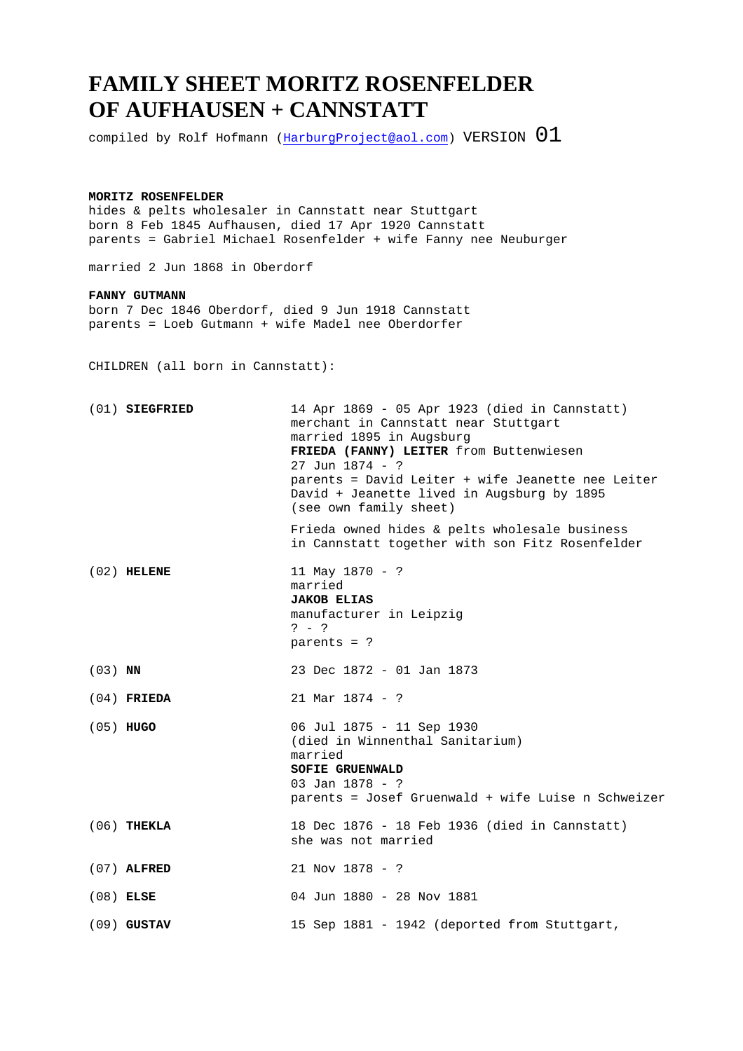## **FAMILY SHEET MORITZ ROSENFELDER OF AUFHAUSEN + CANNSTATT**

compiled by Rolf Hofmann ( $\frac{HarburgProject@aol.com}{A}$ ) VERSION  $01$ 

## **MORITZ ROSENFELDER**

hides & pelts wholesaler in Cannstatt near Stuttgart born 8 Feb 1845 Aufhausen, died 17 Apr 1920 Cannstatt parents = Gabriel Michael Rosenfelder + wife Fanny nee Neuburger

married 2 Jun 1868 in Oberdorf

## **FANNY GUTMANN**

born 7 Dec 1846 Oberdorf, died 9 Jun 1918 Cannstatt parents = Loeb Gutmann + wife Madel nee Oberdorfer

CHILDREN (all born in Cannstatt):

|           | $(01)$ SIEGFRIED | 14 Apr 1869 - 05 Apr 1923 (died in Cannstatt)<br>merchant in Cannstatt near Stuttgart<br>married 1895 in Augsburg<br>FRIEDA (FANNY) LEITER from Buttenwiesen<br>$27$ Jun $1874 - ?$<br>parents = David Leiter + wife Jeanette nee Leiter<br>David + Jeanette lived in Augsburg by 1895<br>(see own family sheet) |
|-----------|------------------|------------------------------------------------------------------------------------------------------------------------------------------------------------------------------------------------------------------------------------------------------------------------------------------------------------------|
|           |                  | Frieda owned hides & pelts wholesale business<br>in Cannstatt together with son Fitz Rosenfelder                                                                                                                                                                                                                 |
|           | $(02)$ HELENE    | 11 May 1870 - ?<br>married<br><b>JAKOB ELIAS</b><br>manufacturer in Leipzig<br>$? - ?$<br>parents = $?$                                                                                                                                                                                                          |
| $(03)$ NN |                  | 23 Dec 1872 - 01 Jan 1873                                                                                                                                                                                                                                                                                        |
|           | $(04)$ FRIEDA    | $21$ Mar $1874 - ?$                                                                                                                                                                                                                                                                                              |
|           | $(05)$ HUGO      | 06 Jul 1875 - 11 Sep 1930<br>(died in Winnenthal Sanitarium)<br>married<br><b>SOFIE GRUENWALD</b><br>03 Jan $1878 - ?$<br>parents = Josef Gruenwald + wife Luise n Schweizer                                                                                                                                     |
|           | $(06)$ THEKLA    | 18 Dec 1876 - 18 Feb 1936 (died in Cannstatt)<br>she was not married                                                                                                                                                                                                                                             |
|           | $(07)$ ALFRED    | $21$ Nov $1878 - ?$                                                                                                                                                                                                                                                                                              |
|           | $(08)$ ELSE      | 04 Jun 1880 - 28 Nov 1881                                                                                                                                                                                                                                                                                        |
|           | $(09)$ GUSTAV    | 15 Sep 1881 - 1942 (deported from Stuttgart,                                                                                                                                                                                                                                                                     |